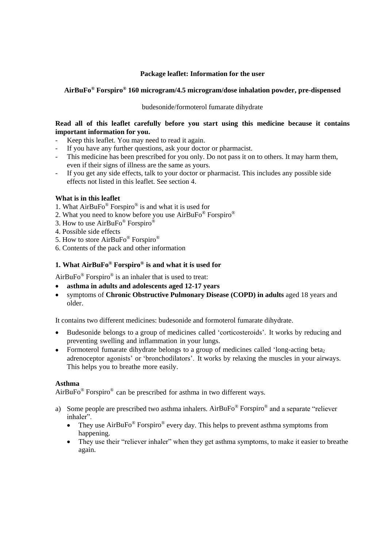### **Package leaflet: Information for the user**

# **AirBuFo® Forspiro® 160 microgram/4.5 microgram/dose inhalation powder, pre-dispensed**

budesonide/formoterol fumarate dihydrate

### **Read all of this leaflet carefully before you start using this medicine because it contains important information for you.**

- Keep this leaflet. You may need to read it again.
- If you have any further questions, ask your doctor or pharmacist.
- This medicine has been prescribed for you only. Do not pass it on to others. It may harm them, even if their signs of illness are the same as yours.
- If you get any side effects, talk to your doctor or pharmacist. This includes any possible side effects not listed in this leaflet. See section 4.

### **What is in this leaflet**

- 1. What AirBuFo® Forspiro® is and what it is used for
- 2. What you need to know before you use AirBuFo® Forspiro®
- 3. How to use  $AirBuFo^{\circledR}$  Forspiro<sup>®</sup>
- 4. Possible side effects
- 5. How to store AirBuFo® Forspiro®
- 6. Contents of the pack and other information

### **1. What AirBuFo® Forspiro® is and what it is used for**

AirBuFo<sup>®</sup> Forspiro<sup>®</sup> is an inhaler that is used to treat:

- **asthma in adults and adolescents aged 12-17 years**
- symptoms of **Chronic Obstructive Pulmonary Disease (COPD) in adults** aged 18 years and older.

It contains two different medicines: budesonide and formoterol fumarate dihydrate.

- Budesonide belongs to a group of medicines called 'corticosteroids'. It works by reducing and preventing swelling and inflammation in your lungs.
- Formoterol fumarate dihydrate belongs to a group of medicines called 'long-acting beta<sub>2</sub> adrenoceptor agonists' or 'bronchodilators'. It works by relaxing the muscles in your airways. This helps you to breathe more easily.

### **Asthma**

AirBuFo $^{\circledR}$  Forspiro $^{\circledR}$  can be prescribed for asthma in two different ways.

- a) Some people are prescribed two asthma inhalers. AirBuFo $^{\circledR}$  Forspiro $^{\circledR}$  and a separate "reliever inhaler".
	- They use  $AirBuFo^{\circledast}$  Forspiro $^{\circledast}$  every day. This helps to prevent asthma symptoms from happening.
	- They use their "reliever inhaler" when they get asthma symptoms, to make it easier to breathe again.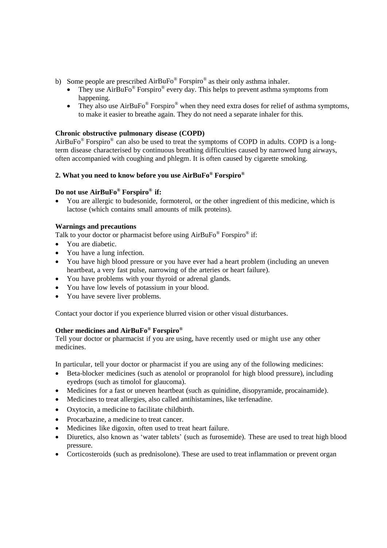- b) Some people are prescribed  $AirBuFo^{\circledast}$  Forspiro $^{\circledast}$  as their only asthma inhaler.
	- They use  $AirBuFo^@$  Forspiro<sup>®</sup> every day. This helps to prevent asthma symptoms from happening.
	- They also use  $AirBuFo^{\circledast}$  Forspiro<sup> $\circledast$ </sup> when they need extra doses for relief of asthma symptoms, to make it easier to breathe again. They do not need a separate inhaler for this.

# **Chronic obstructive pulmonary disease (COPD)**

AirBuFo $^{\circledR}$  Forspiro $^{\circledR}$  can also be used to treat the symptoms of COPD in adults. COPD is a longterm disease characterised by continuous breathing difficulties caused by narrowed lung airways, often accompanied with coughing and phlegm. It is often caused by cigarette smoking.

# **2. What you need to know before you use AirBuFo® Forspiro®**

### **Do not use AirBuFo® Forspiro® if:**

 You are allergic to budesonide, formoterol, or the other ingredient of this medicine, which is lactose (which contains small amounts of milk proteins).

### **Warnings and precautions**

Talk to your doctor or pharmacist before using  $AirBuFo^@$  Forspiro $^@$  if:

- You are diabetic.
- You have a lung infection.
- You have high blood pressure or you have ever had a heart problem (including an uneven heartbeat, a very fast pulse, narrowing of the arteries or heart failure).
- You have problems with your thyroid or adrenal glands.
- You have low levels of potassium in your blood.
- You have severe liver problems.

Contact your doctor if you experience blurred vision or other visual disturbances.

### **Other medicines and AirBuFo® Forspiro®**

Tell your doctor or pharmacist if you are using, have recently used or might use any other medicines.

In particular, tell your doctor or pharmacist if you are using any of the following medicines:

- Beta-blocker medicines (such as atenolol or propranolol for high blood pressure), including eyedrops (such as timolol for glaucoma).
- Medicines for a fast or uneven heartbeat (such as quinidine, disopyramide, procainamide).
- Medicines to treat allergies, also called antihistamines, like terfenadine.
- Oxytocin, a medicine to facilitate childbirth.
- Procarbazine, a medicine to treat cancer.
- Medicines like digoxin, often used to treat heart failure.
- Diuretics, also known as 'water tablets' (such as furosemide). These are used to treat high blood pressure.
- Corticosteroids (such as prednisolone). These are used to treat inflammation or prevent organ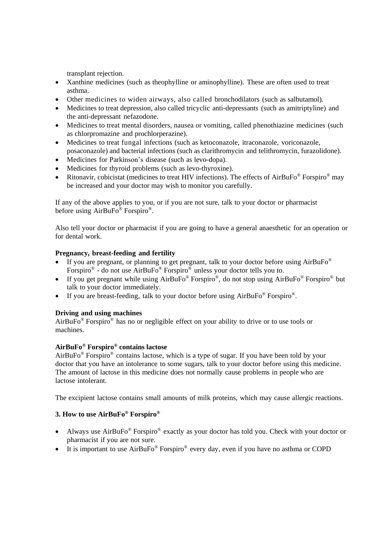transplant rejection.

- Xanthine medicines (such as theophylline or aminophylline). These are often used to treat asthma.
- Other medicines to widen airways, also called bronchodilators (such as salbutamol).
- Medicines to treat depression, also called tricyclic anti-depressants (such as amitriptyline) and the anti-depressant nefazodone.
- Medicines to treat mental disorders, nausea or vomiting, called phenothiazine medicines (such as chlorpromazine and prochlorperazine).
- Medicines to treat fungal infections (such as ketoconazole, itraconazole, voriconazole, posaconazole) and bacterial infections (such as clarithromycin and telithromycin, furazolidone).
- Medicines for Parkinson's disease (such as levo-dopa).
- Medicines for thyroid problems (such as levo-thyroxine).
- Ritonavir, cobicistat (medicines to treat HIV infections). The effects of AirBuFo® Forspiro® may be increased and your doctor may wish to monitor you carefully.

If any of the above applies to you, or if you are not sure, talk to your doctor or pharmacist before using AirBuFo® Forspiro®.

Also tell your doctor or pharmacist if you are going to have a general anaesthetic for an operation or for dental work.

# **Pregnancy, breast-feeding and fertility**

- If you are pregnant, or planning to get pregnant, talk to your doctor before using AirBuFo® Forspiro<sup>®</sup> - do not use AirBuFo<sup>®</sup> Forspiro<sup>®</sup> unless your doctor tells you to.
- If you get pregnant while using  $AirBuFo^{\circledast}$  Forspiro<sup>®</sup>, do not stop using  $AirBuFo^{\circledast}$  Forspiro<sup>®</sup> but talk to your doctor immediately.
- If you are breast-feeding, talk to your doctor before using  $AirBuFo^@$  Forspiro $^@$ .

# **Driving and using machines**

AirBuFo $^{\circledR}$  Forspiro $^{\circledR}$  has no or negligible effect on your ability to drive or to use tools or machines.

# **AirBuFo® Forspiro® contains lactose**

 $AirBuFo<sup>®</sup> Forspiro<sup>®</sup> contains lactose, which is a type of sugar. If you have been told by your$ doctor that you have an intolerance to some sugars, talk to your doctor before using this medicine. The amount of lactose in this medicine does not normally cause problems in people who are lactose intolerant.

The excipient lactose contains small amounts of milk proteins, which may cause allergic reactions.

# **3. How to use AirBuFo® Forspiro®**

- Always use  $AirBuFo^{\circledast}$  Forspiro $^{\circledast}$  exactly as your doctor has told you. Check with your doctor or pharmacist if you are not sure.
- It is important to use  $AirBuFo^{\circledast}$  Forspiro $^{\circledast}$  every day, even if you have no asthma or COPD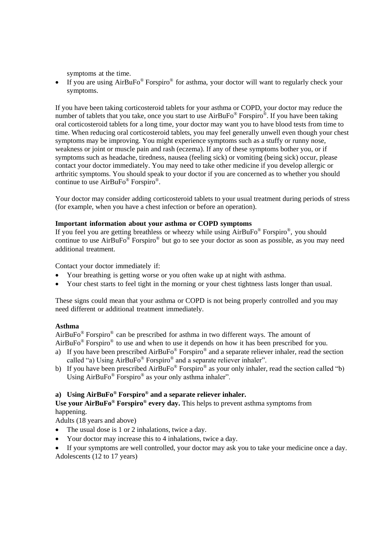symptoms at the time.

If you are using  $AirBuFo^{\circledast}$  Forspiro $^{\circledast}$  for asthma, your doctor will want to regularly check your symptoms.

If you have been taking corticosteroid tablets for your asthma or COPD, your doctor may reduce the number of tablets that you take, once you start to use  $AirBuFo^{\circledast}$  Forspiro<sup> $\circledast$ </sup>. If you have been taking oral corticosteroid tablets for a long time, your doctor may want you to have blood tests from time to time. When reducing oral corticosteroid tablets, you may feel generally unwell even though your chest symptoms may be improving. You might experience symptoms such as a stuffy or runny nose, weakness or joint or muscle pain and rash (eczema). If any of these symptoms bother you, or if symptoms such as headache, tiredness, nausea (feeling sick) or vomiting (being sick) occur, please contact your doctor immediately. You may need to take other medicine if you develop allergic or arthritic symptoms. You should speak to your doctor if you are concerned as to whether you should continue to use AirBuFo<sup>®</sup> Forspiro<sup>®</sup>.

Your doctor may consider adding corticosteroid tablets to your usual treatment during periods of stress (for example, when you have a chest infection or before an operation).

### **Important information about your asthma or COPD symptoms**

If you feel you are getting breathless or wheezy while using AirBuFo<sup>®</sup> Forspiro<sup>®</sup>, you should continue to use AirBuFo® Forspiro® but go to see your doctor as soon as possible, as you may need additional treatment.

Contact your doctor immediately if:

- Your breathing is getting worse or you often wake up at night with asthma.
- Your chest starts to feel tight in the morning or your chest tightness lasts longer than usual.

These signs could mean that your asthma or COPD is not being properly controlled and you may need different or additional treatment immediately.

# **Asthma**

 $AirBuFo<sup>®</sup> Forspiro<sup>®</sup> can be prescribed for asthma in two different ways. The amount of$ AirBuFo<sup>®</sup> Forspiro<sup>®</sup> to use and when to use it depends on how it has been prescribed for you.

- a) If you have been prescribed  $AirBuFo^{\circledast}$  Forspiro $^{\circledast}$  and a separate reliever inhaler, read the section called "a) Using AirBuFo® Forspiro® and a separate reliever inhaler".
- b) If you have been prescribed  $AirBuFo^{\circledast}$  Forspiro<sup>®</sup> as your only inhaler, read the section called "b) Using AirBuFo® Forspiro® as your only asthma inhaler".

# **a) Using AirBuFo® Forspiro® and a separate reliever inhaler.**

**Use your AirBuFo® Forspiro® every day.** This helps to prevent asthma symptoms from happening.

Adults (18 years and above)

- The usual dose is 1 or 2 inhalations, twice a day.
- Your doctor may increase this to 4 inhalations, twice a day.
- If your symptoms are well controlled, your doctor may ask you to take your medicine once a day. Adolescents (12 to 17 years)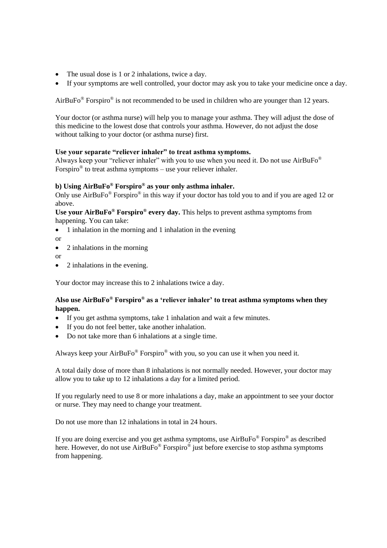- The usual dose is 1 or 2 inhalations, twice a day.
- If your symptoms are well controlled, your doctor may ask you to take your medicine once a day.

AirBuFo<sup>®</sup> Forspiro<sup>®</sup> is not recommended to be used in children who are younger than 12 years.

Your doctor (or asthma nurse) will help you to manage your asthma. They will adjust the dose of this medicine to the lowest dose that controls your asthma. However, do not adjust the dose without talking to your doctor (or asthma nurse) first.

### **Use your separate "reliever inhaler" to treat asthma symptoms.**

Always keep your "reliever inhaler" with you to use when you need it. Do not use AirBuFo<sup>®</sup> Forspiro<sup>®</sup> to treat asthma symptoms – use your reliever inhaler.

# **b) Using AirBuFo® Forspiro® as your only asthma inhaler.**

Only use AirBuFo<sup>®</sup> Forspiro<sup>®</sup> in this way if your doctor has told you to and if you are aged 12 or above.

**Use your AirBuFo® Forspiro® every day.** This helps to prevent asthma symptoms from happening. You can take:

- 1 inhalation in the morning and 1 inhalation in the evening
- or
- 2 inhalations in the morning
- or
- 2 inhalations in the evening.

Your doctor may increase this to 2 inhalations twice a day.

### **Also use AirBuFo® Forspiro® as a 'reliever inhaler' to treat asthma symptoms when they happen.**

- If you get asthma symptoms, take 1 inhalation and wait a few minutes.
- If you do not feel better, take another inhalation.
- Do not take more than 6 inhalations at a single time.

Always keep your  $AirBuFo^{\circledast}$  Forspiro $^{\circledast}$  with you, so you can use it when you need it.

A total daily dose of more than 8 inhalations is not normally needed. However, your doctor may allow you to take up to 12 inhalations a day for a limited period.

If you regularly need to use 8 or more inhalations a day, make an appointment to see your doctor or nurse. They may need to change your treatment.

Do not use more than 12 inhalations in total in 24 hours.

If you are doing exercise and you get asthma symptoms, use AirBuFo® Forspiro® as described here. However, do not use  $AirBuFo^{\circledast}$  Forspiro $^{\circledast}$  just before exercise to stop asthma symptoms from happening.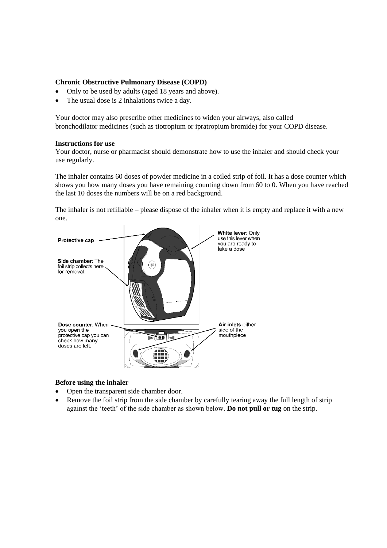#### **Chronic Obstructive Pulmonary Disease (COPD)**

- Only to be used by adults (aged 18 years and above).
- The usual dose is 2 inhalations twice a day.

Your doctor may also prescribe other medicines to widen your airways, also called bronchodilator medicines (such as tiotropium or ipratropium bromide) for your COPD disease.

#### **Instructions for use**

Your doctor, nurse or pharmacist should demonstrate how to use the inhaler and should check your use regularly.

The inhaler contains 60 doses of powder medicine in a coiled strip of foil. It has a dose counter which shows you how many doses you have remaining counting down from 60 to 0. When you have reached the last 10 doses the numbers will be on a red background.

The inhaler is not refillable – please dispose of the inhaler when it is empty and replace it with a new one.



### **Before using the inhaler**

- Open the transparent side chamber door.
- Remove the foil strip from the side chamber by carefully tearing away the full length of strip against the 'teeth' of the side chamber as shown below. **Do not pull or tug** on the strip.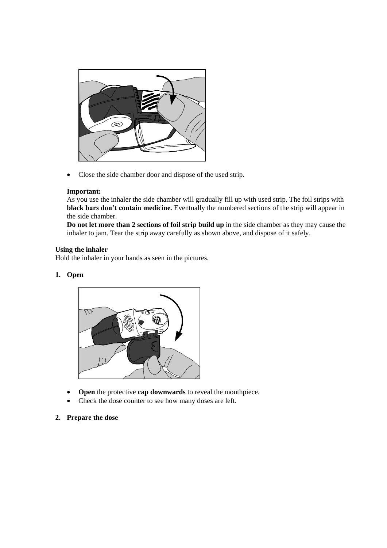

• Close the side chamber door and dispose of the used strip.

### **Important:**

As you use the inhaler the side chamber will gradually fill up with used strip. The foil strips with **black bars don't contain medicine**. Eventually the numbered sections of the strip will appear in the side chamber.

**Do not let more than 2 sections of foil strip build up** in the side chamber as they may cause the inhaler to jam. Tear the strip away carefully as shown above, and dispose of it safely.

### **Using the inhaler**

Hold the inhaler in your hands as seen in the pictures.

### **1. Open**



- Open the protective **cap downwards** to reveal the mouthpiece.
- Check the dose counter to see how many doses are left.
- **2. Prepare the dose**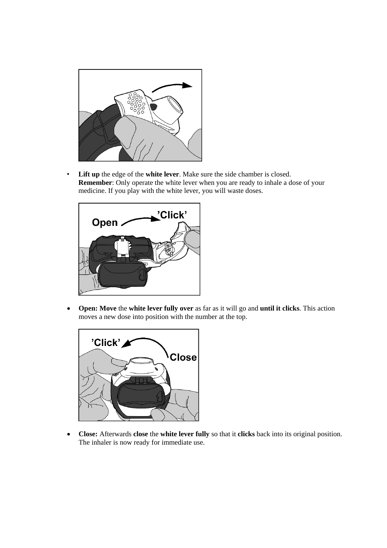

• **Lift up** the edge of the **white lever**. Make sure the side chamber is closed. **Remember**: Only operate the white lever when you are ready to inhale a dose of your medicine. If you play with the white lever, you will waste doses.



 **Open: Move** the **white lever fully over** as far as it will go and **until it clicks**. This action moves a new dose into position with the number at the top.



 **Close:** Afterwards **close** the **white lever fully** so that it **clicks** back into its original position. The inhaler is now ready for immediate use.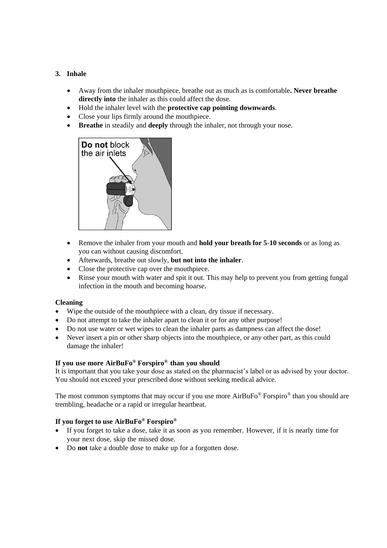### **3. Inhale**

- Away from the inhaler mouthpiece, breathe out as much as is comfortable**. Never breathe directly into** the inhaler as this could affect the dose.
- Hold the inhaler level with the **protective cap pointing downwards**.
- Close your lips firmly around the mouthpiece.
- **Breathe** in steadily and **deeply** through the inhaler, not through your nose.



- Remove the inhaler from your mouth and **hold your breath for 5-10 seconds** or as long as you can without causing discomfort.
- Afterwards, breathe out slowly, **but not into the inhaler**.
- Close the protective cap over the mouthpiece.
- Rinse your mouth with water and spit it out. This may help to prevent you from getting fungal infection in the mouth and becoming hoarse.

### **Cleaning**

- Wipe the outside of the mouthpiece with a clean, dry tissue if necessary.
- Do not attempt to take the inhaler apart to clean it or for any other purpose!
- Do not use water or wet wipes to clean the inhaler parts as dampness can affect the dose!
- Never insert a pin or other sharp objects into the mouthpiece, or any other part, as this could damage the inhaler!

# **If you use more AirBuFo® Forspiro® than you should**

It is important that you take your dose as stated on the pharmacist's label or as advised by your doctor. You should not exceed your prescribed dose without seeking medical advice.

The most common symptoms that may occur if you use more  $AirBuFo^{\circledast}$  Forspiro $^{\circledast}$  than you should are trembling, headache or a rapid or irregular heartbeat.

# **If you forget to use AirBuFo® Forspiro®**

- If you forget to take a dose, take it as soon as you remember. However, if it is nearly time for your next dose, skip the missed dose.
- Do **not** take a double dose to make up for a forgotten dose.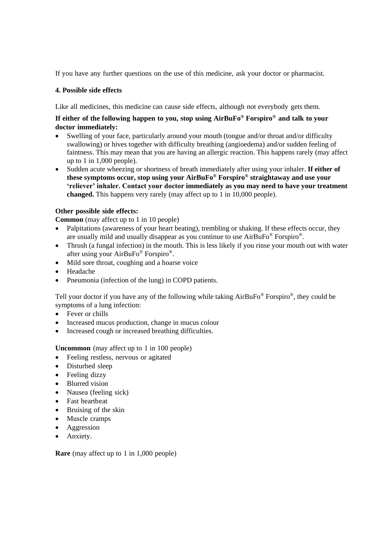If you have any further questions on the use of this medicine, ask your doctor or pharmacist.

### **4. Possible side effects**

Like all medicines, this medicine can cause side effects, although not everybody gets them.

# **If either of the following happen to you, stop using AirBuFo® Forspiro® and talk to your doctor immediately:**

- Swelling of your face, particularly around your mouth (tongue and/or throat and/or difficulty swallowing) or hives together with difficulty breathing (angioedema) and/or sudden feeling of faintness. This may mean that you are having an allergic reaction. This happens rarely (may affect up to 1 in 1,000 people).
- Sudden acute wheezing or shortness of breath immediately after using your inhaler. **If either of these symptoms occur, stop using your AirBuFo® Forspiro® straightaway and use your 'reliever' inhaler. Contact your doctor immediately as you may need to have your treatment changed.** This happens very rarely (may affect up to 1 in 10,000 people).

# **Other possible side effects:**

**Common** (may affect up to 1 in 10 people)

- Palpitations (awareness of your heart beating), trembling or shaking. If these effects occur, they are usually mild and usually disappear as you continue to use  $AirBuFo^{\circledast}$  Forspiro<sup>®</sup>.
- Thrush (a fungal infection) in the mouth. This is less likely if you rinse your mouth out with water after using your AirBuFo® Forspiro®.
- Mild sore throat, coughing and a hoarse voice
- Headache
- Pneumonia (infection of the lung) in COPD patients.

Tell your doctor if you have any of the following while taking  $AirBuFo^@$  Forspiro<sup>®</sup>, they could be symptoms of a lung infection:

- Fever or chills
- Increased mucus production, change in mucus colour
- Increased cough or increased breathing difficulties.

**Uncommon** (may affect up to 1 in 100 people)

- Feeling restless, nervous or agitated
- Disturbed sleep
- Feeling dizzy
- Blurred vision
- Nausea (feeling sick)
- Fast heartbeat
- Bruising of the skin
- Muscle cramps
- Aggression
- Anxiety.

**Rare** (may affect up to 1 in 1,000 people)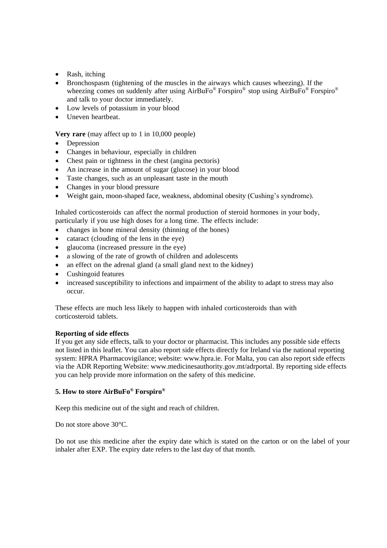- Rash, itching
- Bronchospasm (tightening of the muscles in the airways which causes wheezing). If the wheezing comes on suddenly after using AirBuFo<sup>®</sup> Forspiro<sup>®</sup> stop using AirBuFo<sup>®</sup> Forspiro<sup>®</sup> and talk to your doctor immediately.
- Low levels of potassium in your blood
- Uneven heartbeat.

**Very rare** (may affect up to 1 in 10,000 people)

- Depression
- Changes in behaviour, especially in children
- Chest pain or tightness in the chest (angina pectoris)
- An increase in the amount of sugar (glucose) in your blood
- Taste changes, such as an unpleasant taste in the mouth
- Changes in your blood pressure
- Weight gain, moon-shaped face, weakness, abdominal obesity (Cushing's syndrome).

Inhaled corticosteroids can affect the normal production of steroid hormones in your body, particularly if you use high doses for a long time. The effects include:

- changes in bone mineral density (thinning of the bones)
- cataract (clouding of the lens in the eye)
- glaucoma (increased pressure in the eye)
- a slowing of the rate of growth of children and adolescents
- an effect on the adrenal gland (a small gland next to the kidney)
- Cushingoid features
- increased susceptibility to infections and impairment of the ability to adapt to stress may also occur.

These effects are much less likely to happen with inhaled corticosteroids than with corticosteroid tablets.

### **Reporting of side effects**

If you get any side effects, talk to your doctor or pharmacist. This includes any possible side effects not listed in this leaflet. You can also report side effects directly for Ireland via the national reporting system: HPRA Pharmacovigilance; website[: www.hpra.ie.](http://www.hpra.ie/) For Malta, you can also report side effects via the ADR Reporting Website: www.medicinesauthority.gov.mt/adrportal. By reporting side effects you can help provide more information on the safety of this medicine.

### **5. How to store AirBuFo® Forspiro®**

Keep this medicine out of the sight and reach of children.

Do not store above 30°C.

Do not use this medicine after the expiry date which is stated on the carton or on the label of your inhaler after EXP. The expiry date refers to the last day of that month.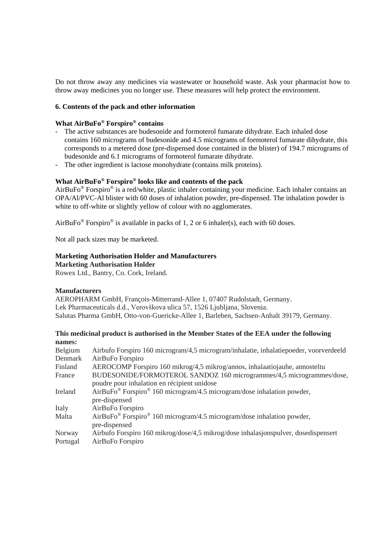Do not throw away any medicines via wastewater or household waste. Ask your pharmacist how to throw away medicines you no longer use. These measures will help protect the environment.

#### **6. Contents of the pack and other information**

#### **What AirBuFo® Forspiro® contains**

- The active substances are budesonide and formoterol fumarate dihydrate. Each inhaled dose contains 160 micrograms of budesonide and 4.5 micrograms of formoterol fumarate dihydrate, this corresponds to a metered dose (pre-dispensed dose contained in the blister) of 194.7 micrograms of budesonide and 6.1 micrograms of formoterol fumarate dihydrate.
- The other ingredient is lactose monohydrate (contains milk proteins).

#### **What AirBuFo® Forspiro® looks like and contents of the pack**

AirBuFo® Forspiro® is a red/white, plastic inhaler containing your medicine. Each inhaler contains an OPA/Al/PVC-Al blister with 60 doses of inhalation powder, pre-dispensed. The inhalation powder is white to off-white or slightly yellow of colour with no agglomerates.

AirBuFo<sup>®</sup> Forspiro<sup>®</sup> is available in packs of 1, 2 or 6 inhaler(s), each with 60 doses.

Not all pack sizes may be marketed.

#### **Marketing Authorisation Holder and Manufacturers**

**Marketing Authorisation Holder**

Rowex Ltd., Bantry, Co. Cork, Ireland.

#### **Manufacturers**

AEROPHARM GmbH, François-Mitterrand-Allee 1, 07407 Rudolstadt, Germany. Lek Pharmaceuticals d.d., Verovškova ulica 57, 1526 Ljubljana, Slovenia. Salutas Pharma GmbH, Otto-von-Guericke-Allee 1, Barleben, Sachsen-Anhalt 39179, Germany.

#### **This medicinal product is authorised in the Member States of the EEA under the following names:**

| Belgium  | Airbufo Forspiro 160 microgram/4,5 microgram/inhalatie, inhalatiepoeder, voorverdeeld                                    |
|----------|--------------------------------------------------------------------------------------------------------------------------|
| Denmark  | AirBuFo Forspiro                                                                                                         |
| Finland  | AEROCOMP Forspiro 160 mikrog/4,5 mikrog/annos, inhalaatiojauhe, annosteltu                                               |
| France   | BUDESONIDE/FORMOTEROL SANDOZ 160 microgrammes/4,5 microgrammes/dose,                                                     |
|          | poudre pour inhalation en récipient unidose                                                                              |
| Ireland  | AirBuFo® Forspiro® 160 microgram/4.5 microgram/dose inhalation powder,                                                   |
|          | pre-dispensed                                                                                                            |
| Italy    | AirBuFo Forspiro                                                                                                         |
| Malta    | $AirBuFo^{\circledast}$ Forspiro <sup><math>\circledast</math></sup> 160 microgram/4.5 microgram/dose inhalation powder, |
|          | pre-dispensed                                                                                                            |
| Norway   | Airbufo Forspiro 160 mikrog/dose/4,5 mikrog/dose inhalasjonspulver, dosedispensert                                       |
| Portugal | AirBuFo Forspiro                                                                                                         |